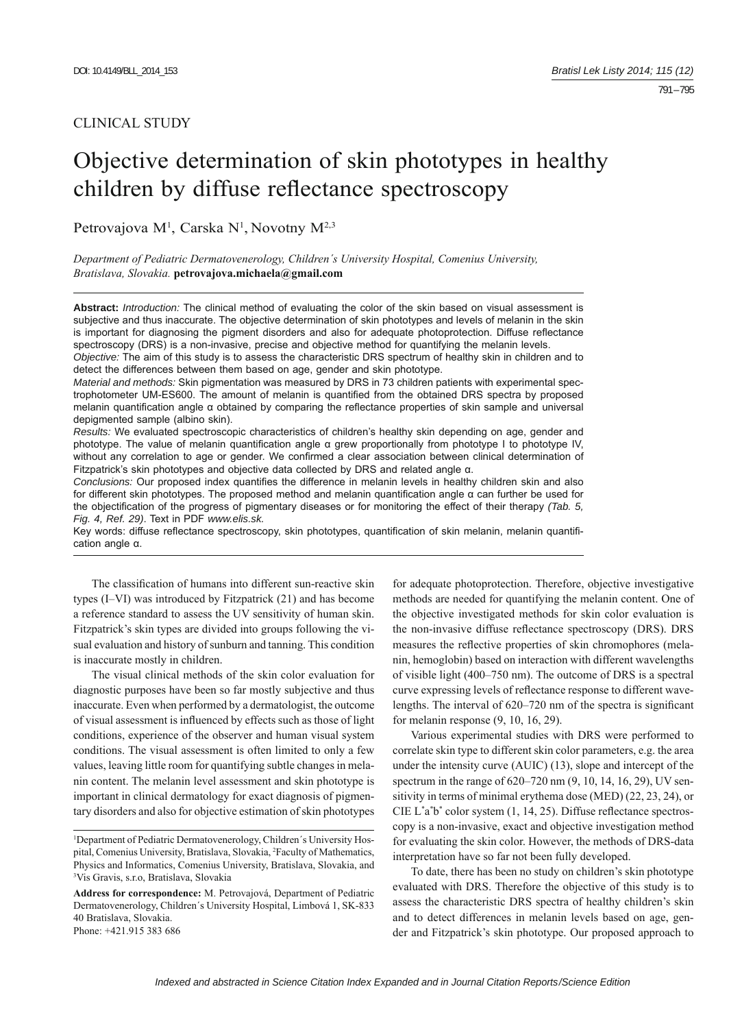791 – 795

# Objective determination of skin phototypes in healthy children by diffuse reflectance spectroscopy

Petrovajova M<sup>1</sup>, Carska N<sup>1</sup>, Novotny M<sup>2,3</sup>

*Department of Pediatric Dermatovenerology, Children´s University Hospital, Comenius University, Bratislava, Slovakia.* **petrovajova.michaela@gmail.com**

**Abstract:** *Introduction:* The clinical method of evaluating the color of the skin based on visual assessment is subjective and thus inaccurate. The objective determination of skin phototypes and levels of melanin in the skin is important for diagnosing the pigment disorders and also for adequate photoprotection. Diffuse reflectance spectroscopy (DRS) is a non-invasive, precise and objective method for quantifying the melanin levels.

*Objective:* The aim of this study is to assess the characteristic DRS spectrum of healthy skin in children and to detect the differences between them based on age, gender and skin phototype.

*Material and methods:* Skin pigmentation was measured by DRS in 73 children patients with experimental spectrophotometer UM-ES600. The amount of melanin is quantified from the obtained DRS spectra by proposed melanin quantification angle α obtained by comparing the reflectance properties of skin sample and universal depigmented sample (albino skin).

*Results:* We evaluated spectroscopic characteristics of children's healthy skin depending on age, gender and phototype. The value of melanin quantification angle α grew proportionally from phototype I to phototype IV, without any correlation to age or gender. We confirmed a clear association between clinical determination of Fitzpatrick's skin phototypes and objective data collected by DRS and related angle α.

*Conclusions:* Our proposed index quantifies the difference in melanin levels in healthy children skin and also for different skin phototypes. The proposed method and melanin quantification angle α can further be used for the objectification of the progress of pigmentary diseases or for monitoring the effect of their therapy *(Tab. 5, Fig. 4, Ref. 29)*. Text in PDF *www.elis.sk.*

Key words: diffuse reflectance spectroscopy, skin phototypes, quantification of skin melanin, melanin quantification angle α.

The classification of humans into different sun-reactive skin types (I–VI) was introduced by Fitzpatrick (21) and has become a reference standard to assess the UV sensitivity of human skin. Fitzpatrick's skin types are divided into groups following the visual evaluation and history of sunburn and tanning. This condition is inaccurate mostly in children.

The visual clinical methods of the skin color evaluation for diagnostic purposes have been so far mostly subjective and thus inaccurate. Even when performed by a dermatologist, the outcome of visual assessment is influenced by effects such as those of light conditions, experience of the observer and human visual system conditions. The visual assessment is often limited to only a few values, leaving little room for quantifying subtle changes in melanin content. The melanin level assessment and skin phototype is important in clinical dermatology for exact diagnosis of pigmentary disorders and also for objective estimation of skin phototypes

for adequate photoprotection. Therefore, objective investigative methods are needed for quantifying the melanin content. One of the objective investigated methods for skin color evaluation is the non-invasive diffuse reflectance spectroscopy (DRS). DRS measures the reflective properties of skin chromophores (melanin, hemoglobin) based on interaction with different wavelengths of visible light (400–750 nm). The outcome of DRS is a spectral curve expressing levels of reflectance response to different wavelengths. The interval of  $620-720$  nm of the spectra is significant for melanin response (9, 10, 16, 29).

Various experimental studies with DRS were performed to correlate skin type to different skin color parameters, e.g. the area under the intensity curve (AUIC) (13), slope and intercept of the spectrum in the range of 620–720 nm (9, 10, 14, 16, 29), UV sensitivity in terms of minimal erythema dose (MED) (22, 23, 24), or CIE  $L^*a^*b^*$  color system (1, 14, 25). Diffuse reflectance spectroscopy is a non-invasive, exact and objective investigation method for evaluating the skin color. However, the methods of DRS-data interpretation have so far not been fully developed.

To date, there has been no study on children's skin phototype evaluated with DRS. Therefore the objective of this study is to assess the characteristic DRS spectra of healthy children's skin and to detect differences in melanin levels based on age, gender and Fitzpatrick's skin phototype. Our proposed approach to

<sup>&</sup>lt;sup>1</sup>Department of Pediatric Dermatovenerology, Children's University Hospital, Comenius University, Bratislava, Slovakia, <sup>2</sup>Faculty of Mathematics, Physics and Informatics, Comenius University, Bratislava, Slovakia, and 3 Vis Gravis, s.r.o, Bratislava, Slovakia

**Address for correspondence:** M. Petrovajová, Department of Pediatric Dermatovenerology, Children´s University Hospital, Limbová 1, SK-833 40 Bratislava, Slovakia. Phone: +421.915 383 686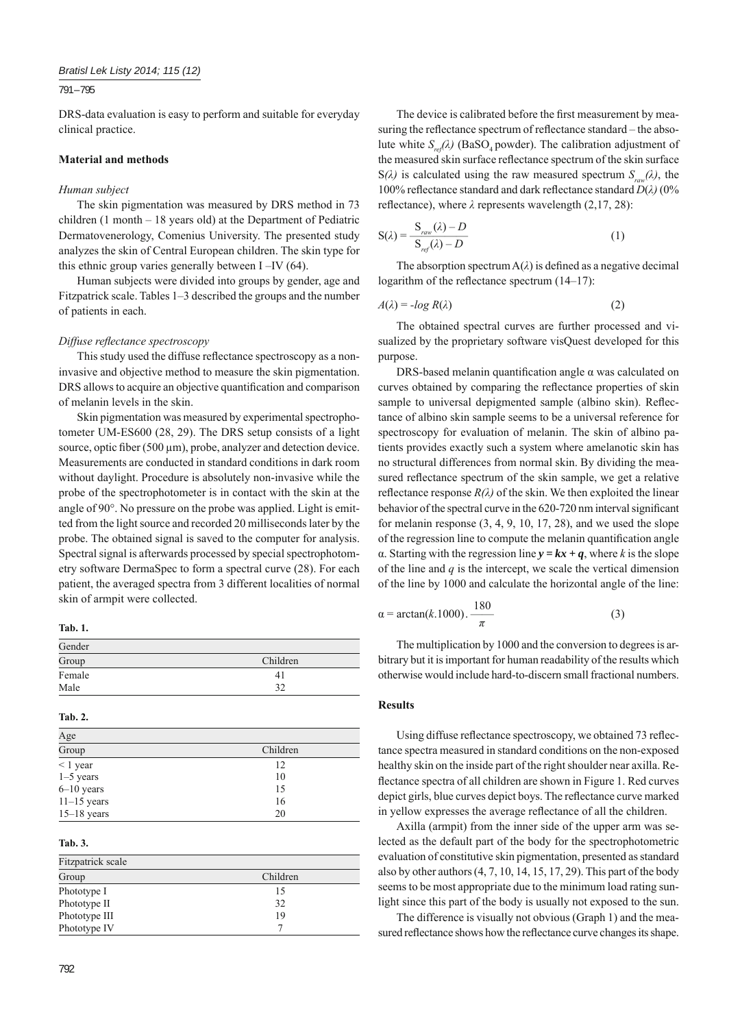791 – 795

DRS-data evaluation is easy to perform and suitable for everyday clinical practice.

# **Material and methods**

## *Human subject*

The skin pigmentation was measured by DRS method in 73 children (1 month – 18 years old) at the Department of Pediatric Dermatovenerology, Comenius University. The presented study analyzes the skin of Central European children. The skin type for this ethnic group varies generally between I –IV (64).

Human subjects were divided into groups by gender, age and Fitzpatrick scale. Tables 1–3 described the groups and the number of patients in each.

#### *Diffuse reflectance spectroscopy*

This study used the diffuse reflectance spectroscopy as a noninvasive and objective method to measure the skin pigmentation. DRS allows to acquire an objective quantification and comparison of melanin levels in the skin.

Skin pigmentation was measured by experimental spectrophotometer UM-ES600 (28, 29). The DRS setup consists of a light source, optic fiber (500  $\mu$ m), probe, analyzer and detection device. Measurements are conducted in standard conditions in dark room without daylight. Procedure is absolutely non-invasive while the probe of the spectrophotometer is in contact with the skin at the angle of 90°. No pressure on the probe was applied. Light is emitted from the light source and recorded 20 milliseconds later by the probe. The obtained signal is saved to the computer for analysis. Spectral signal is afterwards processed by special spectrophotometry software DermaSpec to form a spectral curve (28). For each patient, the averaged spectra from 3 different localities of normal skin of armpit were collected.

**Tab. 1.**

| Gender |          |
|--------|----------|
| Group  | Children |
| Female | 41       |
| Male   | ר ב      |

## **Tab. 2.**

| Age            |          |
|----------------|----------|
| Group          | Children |
| $\leq 1$ year  | 12       |
| $1-5$ years    | 10       |
| $6 - 10$ years | 15       |
| $11-15$ years  | 16       |
| $15-18$ years  | 20       |

# **Tab. 3.**

| Fitzpatrick scale |          |  |  |  |
|-------------------|----------|--|--|--|
| Group             | Children |  |  |  |
| Phototype I       | 15       |  |  |  |
| Phototype II      | 32       |  |  |  |
| Phototype III     | 19       |  |  |  |
| Phototype IV      |          |  |  |  |

792

The device is calibrated before the first measurement by measuring the reflectance spectrum of reflectance standard – the absolute white  $S_{ref}(\lambda)$  (BaSO<sub>4</sub> powder). The calibration adjustment of the measured skin surface reflectance spectrum of the skin surface  $S(\lambda)$  is calculated using the raw measured spectrum  $S_{n}(\lambda)$ , the 100% refl ectance standard and dark refl ectance standard *D*(*λ)* (0% reflectance), where  $\lambda$  represents wavelength (2,17, 28):

$$
S(\lambda) = \frac{S_{raw}(\lambda) - D}{S_{ref}(\lambda) - D}
$$
 (1)

The absorption spectrum  $A(\lambda)$  is defined as a negative decimal logarithm of the reflectance spectrum  $(14-17)$ :

$$
A(\lambda) = -\log R(\lambda) \tag{2}
$$

The obtained spectral curves are further processed and visualized by the proprietary software visQuest developed for this purpose.

DRS-based melanin quantification angle  $\alpha$  was calculated on curves obtained by comparing the reflectance properties of skin sample to universal depigmented sample (albino skin). Reflectance of albino skin sample seems to be a universal reference for spectroscopy for evaluation of melanin. The skin of albino patients provides exactly such a system where amelanotic skin has no structural differences from normal skin. By dividing the measured reflectance spectrum of the skin sample, we get a relative reflectance response  $R(\lambda)$  of the skin. We then exploited the linear behavior of the spectral curve in the 620-720 nm interval significant for melanin response  $(3, 4, 9, 10, 17, 28)$ , and we used the slope of the regression line to compute the melanin quantification angle α. Starting with the regression line *y = kx + q*, where *k* is the slope of the line and *q* is the intercept, we scale the vertical dimension of the line by 1000 and calculate the horizontal angle of the line:

$$
\alpha = \arctan(k.1000). \frac{180}{\pi} \tag{3}
$$

The multiplication by 1000 and the conversion to degrees is arbitrary but it is important for human readability of the results which otherwise would include hard-to-discern small fractional numbers.

#### **Results**

Using diffuse reflectance spectroscopy, we obtained 73 reflectance spectra measured in standard conditions on the non-exposed healthy skin on the inside part of the right shoulder near axilla. Reflectance spectra of all children are shown in Figure 1. Red curves depict girls, blue curves depict boys. The reflectance curve marked in yellow expresses the average reflectance of all the children.

Axilla (armpit) from the inner side of the upper arm was selected as the default part of the body for the spectrophotometric evaluation of constitutive skin pigmentation, presented as standard also by other authors (4, 7, 10, 14, 15, 17, 29). This part of the body seems to be most appropriate due to the minimum load rating sunlight since this part of the body is usually not exposed to the sun.

The difference is visually not obvious (Graph 1) and the measured reflectance shows how the reflectance curve changes its shape.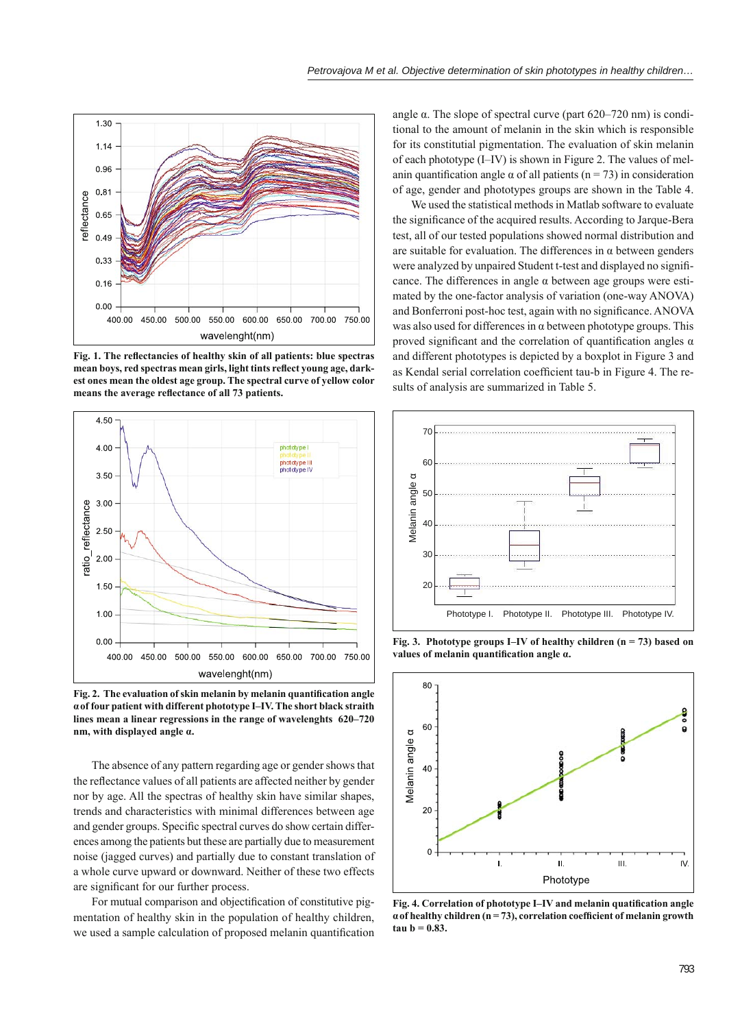

Fig. 1. The reflectancies of healthy skin of all patients: blue spectras mean boys, red spectras mean girls, light tints reflect young age, dark**est ones mean the oldest age group. The spectral curve of yellow color**  means the average reflectance of all 73 patients.



Fig. 2. The evaluation of skin melanin by melanin quantification angle **αof four patient with different phototype I–IV. The short black straith lines mean a linear regressions in the range of wavelenghts 620–720 nm, with displayed angle α.**

The absence of any pattern regarding age or gender shows that the reflectance values of all patients are affected neither by gender nor by age. All the spectras of healthy skin have similar shapes, trends and characteristics with minimal differences between age and gender groups. Specific spectral curves do show certain differences among the patients but these are partially due to measurement noise (jagged curves) and partially due to constant translation of a whole curve upward or downward. Neither of these two effects are significant for our further process.

For mutual comparison and objectification of constitutive pigmentation of healthy skin in the population of healthy children, we used a sample calculation of proposed melanin quantification

angle α. The slope of spectral curve (part 620–720 nm) is conditional to the amount of melanin in the skin which is responsible for its constitutial pigmentation. The evaluation of skin melanin of each phototype (I–IV) is shown in Figure 2. The values of melanin quantification angle  $\alpha$  of all patients (n = 73) in consideration of age, gender and phototypes groups are shown in the Table 4.

We used the statistical methods in Matlab software to evaluate the significance of the acquired results. According to Jarque-Bera test, all of our tested populations showed normal distribution and are suitable for evaluation. The differences in  $\alpha$  between genders were analyzed by unpaired Student t-test and displayed no significance. The differences in angle  $\alpha$  between age groups were estimated by the one-factor analysis of variation (one-way ANOVA) and Bonferroni post-hoc test, again with no significance. ANOVA was also used for differences in  $\alpha$  between phototype groups. This proved significant and the correlation of quantification angles  $\alpha$ and different phototypes is depicted by a boxplot in Figure 3 and as Kendal serial correlation coefficient tau-b in Figure 4. The results of analysis are summarized in Table 5.



**Fig. 3. Phototype groups I–IV of healthy children (n = 73) based on values of melanin quantifi cation angle α.**



Fig. 4. Correlation of phototype I–IV and melanin quatification angle α of healthy children (n = 73), correlation coefficient of melanin growth **tau b = 0.83.**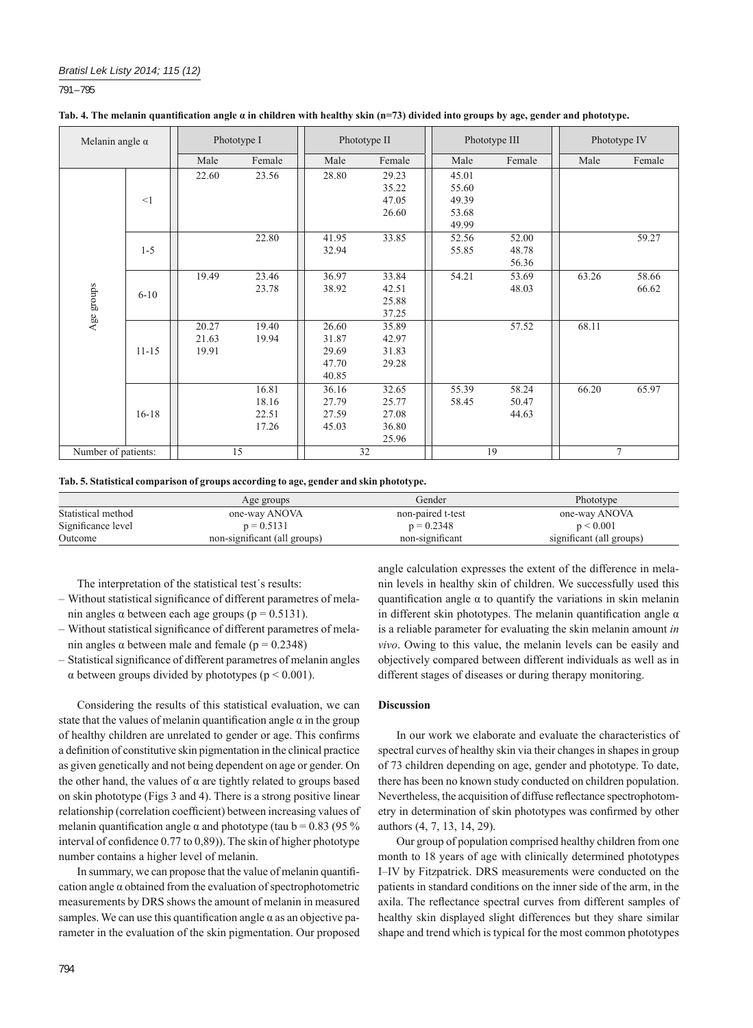791 – 795

| Tab. 4. The melanin quantification angle $\alpha$ in children with healthy skin (n=73) divided into groups by age, gender and phototype. |  |  |
|------------------------------------------------------------------------------------------------------------------------------------------|--|--|
|------------------------------------------------------------------------------------------------------------------------------------------|--|--|

| Melanin angle $\alpha$ |           | Phototype I             |                                  | Phototype II                              |                                           | Phototype III                             |                         | Phototype IV |                |
|------------------------|-----------|-------------------------|----------------------------------|-------------------------------------------|-------------------------------------------|-------------------------------------------|-------------------------|--------------|----------------|
|                        |           | Male                    | Female                           | Male                                      | Female                                    | Male                                      | Female                  | Male         | Female         |
|                        | <1        | 22.60                   | 23.56                            | 28.80                                     | 29.23<br>35.22<br>47.05<br>26.60          | 45.01<br>55.60<br>49.39<br>53.68<br>49.99 |                         |              |                |
|                        | $1 - 5$   |                         | 22.80                            | 41.95<br>32.94                            | 33.85                                     | 52.56<br>55.85                            | 52.00<br>48.78<br>56.36 |              | 59.27          |
| Age groups             | $6 - 10$  | 19.49                   | 23.46<br>23.78                   | 36.97<br>38.92                            | 33.84<br>42.51<br>25.88<br>37.25          | 54.21                                     | 53.69<br>48.03          | 63.26        | 58.66<br>66.62 |
|                        | $11 - 15$ | 20.27<br>21.63<br>19.91 | 19.40<br>19.94                   | 26.60<br>31.87<br>29.69<br>47.70<br>40.85 | 35.89<br>42.97<br>31.83<br>29.28          |                                           | 57.52                   | 68.11        |                |
|                        | $16 - 18$ |                         | 16.81<br>18.16<br>22.51<br>17.26 | 36.16<br>27.79<br>27.59<br>45.03          | 32.65<br>25.77<br>27.08<br>36.80<br>25.96 | 55.39<br>58.45                            | 58.24<br>50.47<br>44.63 | 66.20        | 65.97          |
| Number of patients:    |           |                         | 15                               |                                           | 32                                        | 19<br>7                                   |                         |              |                |

**Tab. 5. Statistical comparison of groups according to age, gender and skin phototype.**

|                    | Age groups                   | Gender            | Phototype                |
|--------------------|------------------------------|-------------------|--------------------------|
| Statistical method | one-way ANOVA                | non-paired t-test | one-way ANOVA            |
| Significance level | $p = 0.5131$                 | $p = 0.2348$      | p < 0.001                |
| Outcome            | non-significant (all groups) | non-significant   | significant (all groups) |

The interpretation of the statistical test´s results:

- Without statistical significance of different parametres of melanin angles  $\alpha$  between each age groups ( $p = 0.5131$ ).
- Without statistical significance of different parametres of melanin angles  $\alpha$  between male and female ( $p = 0.2348$ )
- Statistical significance of different parametres of melanin angles  $\alpha$  between groups divided by phototypes ( $p < 0.001$ ).

Considering the results of this statistical evaluation, we can state that the values of melanin quantification angle  $\alpha$  in the group of healthy children are unrelated to gender or age. This confirms a definition of constitutive skin pigmentation in the clinical practice as given genetically and not being dependent on age or gender. On the other hand, the values of  $\alpha$  are tightly related to groups based on skin phototype (Figs 3 and 4). There is a strong positive linear relationship (correlation coefficient) between increasing values of melanin quantification angle  $\alpha$  and phototype (tau b = 0.83 (95 %) interval of confidence  $(0.77 \text{ to } 0.89)$ ). The skin of higher phototype number contains a higher level of melanin.

In summary, we can propose that the value of melanin quantification angle  $\alpha$  obtained from the evaluation of spectrophotometric measurements by DRS shows the amount of melanin in measured samples. We can use this quantification angle  $\alpha$  as an objective parameter in the evaluation of the skin pigmentation. Our proposed

angle calculation expresses the extent of the difference in melanin levels in healthy skin of children. We successfully used this quantification angle  $\alpha$  to quantify the variations in skin melanin in different skin phototypes. The melanin quantification angle  $\alpha$ is a reliable parameter for evaluating the skin melanin amount *in vivo*. Owing to this value, the melanin levels can be easily and objectively compared between different individuals as well as in different stages of diseases or during therapy monitoring.

## **Discussion**

In our work we elaborate and evaluate the characteristics of spectral curves of healthy skin via their changes in shapes in group of 73 children depending on age, gender and phototype. To date, there has been no known study conducted on children population. Nevertheless, the acquisition of diffuse reflectance spectrophotometry in determination of skin phototypes was confirmed by other authors (4, 7, 13, 14, 29).

Our group of population comprised healthy children from one month to 18 years of age with clinically determined phototypes I–IV by Fitzpatrick. DRS measurements were conducted on the patients in standard conditions on the inner side of the arm, in the axila. The reflectance spectral curves from different samples of healthy skin displayed slight differences but they share similar shape and trend which is typical for the most common phototypes